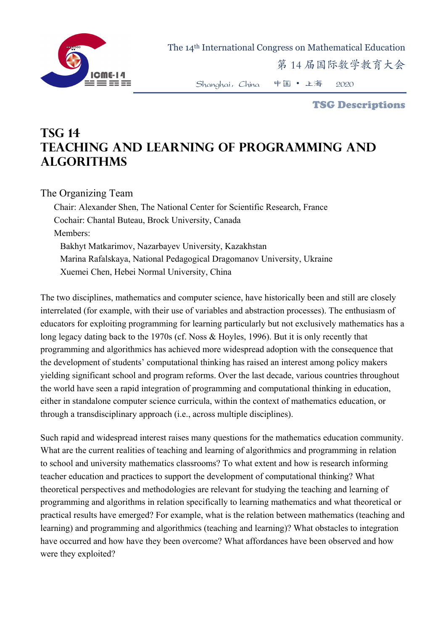

The 14th International Congress on Mathematical Education

第 14 届国际数学教育大会

Shanghai,China 中国 • 上海 2020

TSG Descriptions

## **TSG 14 Teaching and Learning of Programming and Algorithms**

The Organizing Team

Chair: Alexander Shen, The National Center for Scientific Research, France Cochair: Chantal Buteau, Brock University, Canada Members: Bakhyt Matkarimov, Nazarbayev University, Kazakhstan Marina Rafalskaya, National Pedagogical Dragomanov University, Ukraine Xuemei Chen, Hebei Normal University, China

The two disciplines, mathematics and computer science, have historically been and still are closely interrelated (for example, with their use of variables and abstraction processes). The enthusiasm of educators for exploiting programming for learning particularly but not exclusively mathematics has a long legacy dating back to the 1970s (cf. Noss & Hoyles, 1996). But it is only recently that programming and algorithmics has achieved more widespread adoption with the consequence that the development of students' computational thinking has raised an interest among policy makers yielding significant school and program reforms. Over the last decade, various countries throughout the world have seen a rapid integration of programming and computational thinking in education, either in standalone computer science curricula, within the context of mathematics education, or through a transdisciplinary approach (i.e., across multiple disciplines).

Such rapid and widespread interest raises many questions for the mathematics education community. What are the current realities of teaching and learning of algorithmics and programming in relation to school and university mathematics classrooms? To what extent and how is research informing teacher education and practices to support the development of computational thinking? What theoretical perspectives and methodologies are relevant for studying the teaching and learning of programming and algorithms in relation specifically to learning mathematics and what theoretical or practical results have emerged? For example, what is the relation between mathematics (teaching and learning) and programming and algorithmics (teaching and learning)? What obstacles to integration have occurred and how have they been overcome? What affordances have been observed and how were they exploited?